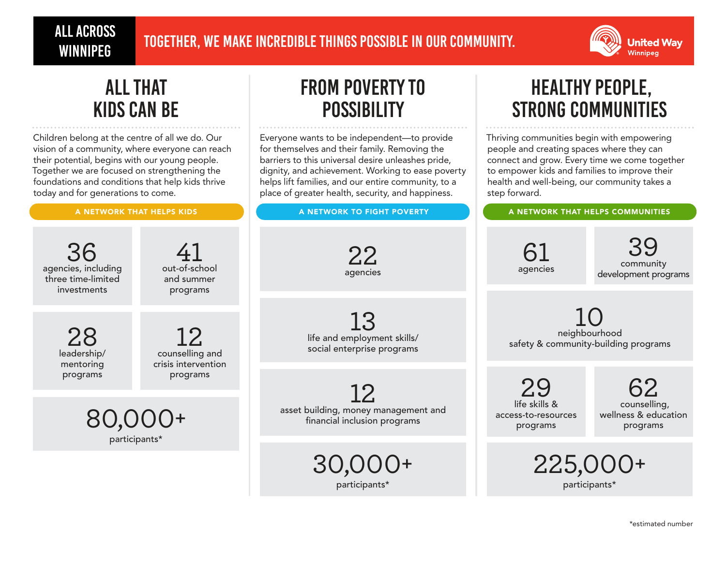# ALL ACROSS



# all that kids can be

Children belong at the centre of all we do. Our vision of a community, where everyone can reach their potential, begins with our young people. Together we are focused on strengthening the foundations and conditions that help kids thrive today and for generations to come.

# from poverty to **POSSIBILITY**

Everyone wants to be independent—to provide for themselves and their family. Removing the barriers to this universal desire unleashes pride, dignity, and achievement. Working to ease poverty helps lift families, and our entire community, to a place of greater health, security, and happiness.

A NETWORK THAT HELPS KIDS **A RETWORK TO FIGHT POVERTY A NETWORK THAT HELPS COMMUNITIES** 

# healthy people, strong communities

Thriving communities begin with empowering people and creating spaces where they can connect and grow. Every time we come together to empower kids and families to improve their health and well-being, our community takes a step forward.

> $\Delta \Delta$ J,UUU+ participants\*

| 36<br>agencies, including<br>three time-limited<br>investments | out-of-school<br>and summer<br>programs                   | 22<br>agencies                                                       | agencies                                              | 39<br>community<br>development programs          |
|----------------------------------------------------------------|-----------------------------------------------------------|----------------------------------------------------------------------|-------------------------------------------------------|--------------------------------------------------|
| 28<br>leadership/<br>mentoring<br>programs                     | 12.<br>counselling and<br>crisis intervention<br>programs | 13<br>life and employment skills/<br>social enterprise programs      | neighbourhood<br>safety & community-building programs |                                                  |
|                                                                |                                                           | 12                                                                   | 29                                                    |                                                  |
| $80,000+$                                                      |                                                           | asset building, money management and<br>financial inclusion programs | life skills &<br>access-to-resources<br>programs      | counselling,<br>wellness & education<br>programs |
|                                                                |                                                           | OO OOO                                                               | OOF AAA.                                              |                                                  |

30,000+ participants\*